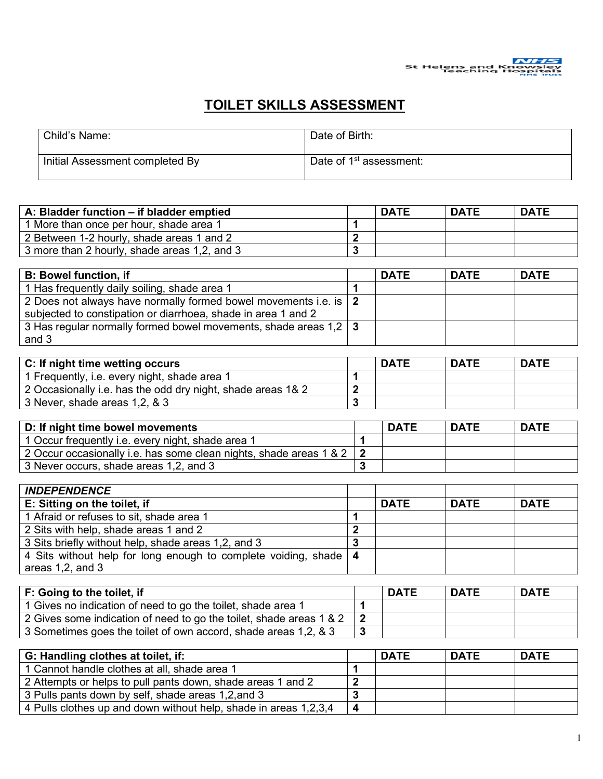

## **TOILET SKILLS ASSESSMENT**

| Child's Name:                   | Date of Birth:                      |
|---------------------------------|-------------------------------------|
| Initial Assessment completed By | Date of 1 <sup>st</sup> assessment: |

| A: Bladder function – if bladder emptied     | <b>DATE</b> | <b>DATE</b> | <b>DATE</b> |
|----------------------------------------------|-------------|-------------|-------------|
| 1 More than once per hour, shade area 1      |             |             |             |
| 2 Between 1-2 hourly, shade areas 1 and 2    |             |             |             |
| 3 more than 2 hourly, shade areas 1,2, and 3 |             |             |             |

| <b>B: Bowel function, if</b>                                                                                                      | <b>DATE</b> | <b>DATE</b> | <b>DATE</b> |
|-----------------------------------------------------------------------------------------------------------------------------------|-------------|-------------|-------------|
| 1 Has frequently daily soiling, shade area 1                                                                                      |             |             |             |
| 2 Does not always have normally formed bowel movements i.e. is 2<br>subjected to constipation or diarrhoea, shade in area 1 and 2 |             |             |             |
| 3 Has regular normally formed bowel movements, shade areas 1,2   3<br>and 3                                                       |             |             |             |

| C: If night time wetting occurs                             | <b>DATE</b> | <b>DATE</b> | <b>DATE</b> |
|-------------------------------------------------------------|-------------|-------------|-------------|
| 1 Frequently, i.e. every night, shade area 1                |             |             |             |
| 2 Occasionally i.e. has the odd dry night, shade areas 1& 2 |             |             |             |
| 3 Never, shade areas 1,2, & 3                               |             |             |             |

| D: If night time bowel movements                                       | <b>DATE</b> | <b>DATE</b> | <b>DATE</b> |
|------------------------------------------------------------------------|-------------|-------------|-------------|
| 1 Occur frequently i.e. every night, shade area 1                      |             |             |             |
| 2 Occur occasionally i.e. has some clean nights, shade areas 1 & 2   2 |             |             |             |
| 3 Never occurs, shade areas 1,2, and 3                                 |             |             |             |

| <b>INDEPENDENCE</b>                                                |             |             |             |
|--------------------------------------------------------------------|-------------|-------------|-------------|
| E: Sitting on the toilet, if                                       | <b>DATE</b> | <b>DATE</b> | <b>DATE</b> |
| 1 Afraid or refuses to sit, shade area 1                           |             |             |             |
| 2 Sits with help, shade areas 1 and 2                              |             |             |             |
| 3 Sits briefly without help, shade areas 1,2, and 3                |             |             |             |
| 4 Sits without help for long enough to complete voiding, shade   4 |             |             |             |
| areas $1,2$ , and $3$                                              |             |             |             |

| F: Going to the toilet, if                                                    | <b>DATE</b> | <b>DATE</b> | <b>DATE</b> |
|-------------------------------------------------------------------------------|-------------|-------------|-------------|
| 1 Gives no indication of need to go the toilet, shade area 1                  |             |             |             |
| 2 Gives some indication of need to go the toilet, shade areas 1 & 2 $\vert$ 2 |             |             |             |
| 3 Sometimes goes the toilet of own accord, shade areas 1,2, & 3               |             |             |             |

| G: Handling clothes at toilet, if:                               | <b>DATE</b> | <b>DATE</b> | <b>DATE</b> |
|------------------------------------------------------------------|-------------|-------------|-------------|
| 1 Cannot handle clothes at all, shade area 1                     |             |             |             |
| 2 Attempts or helps to pull pants down, shade areas 1 and 2      |             |             |             |
| 3 Pulls pants down by self, shade areas 1,2, and 3               |             |             |             |
| 4 Pulls clothes up and down without help, shade in areas 1,2,3,4 |             |             |             |